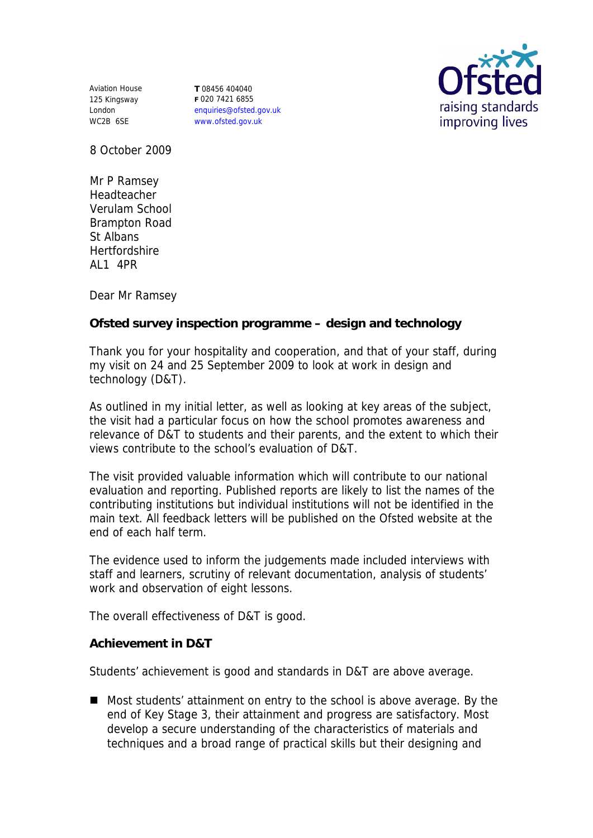Aviation House 125 Kingsway London WC2B 6SE

**T** 08456 404040 **F** 020 7421 6855 enquiries@ofsted.gov.uk www.ofsted.gov.uk



8 October 2009

Mr P Ramsey Headteacher Verulam School Brampton Road St Albans Hertfordshire AL1 4PR

Dear Mr Ramsey

**Ofsted survey inspection programme – design and technology**

Thank you for your hospitality and cooperation, and that of your staff, during my visit on 24 and 25 September 2009 to look at work in design and technology (D&T).

As outlined in my initial letter, as well as looking at key areas of the subject, the visit had a particular focus on how the school promotes awareness and relevance of D&T to students and their parents, and the extent to which their views contribute to the school's evaluation of D&T.

The visit provided valuable information which will contribute to our national evaluation and reporting. Published reports are likely to list the names of the contributing institutions but individual institutions will not be identified in the main text. All feedback letters will be published on the Ofsted website at the end of each half term.

The evidence used to inform the judgements made included interviews with staff and learners, scrutiny of relevant documentation, analysis of students' work and observation of eight lessons.

The overall effectiveness of D&T is good.

**Achievement in D&T** 

Students' achievement is good and standards in D&T are above average.

■ Most students' attainment on entry to the school is above average. By the end of Key Stage 3, their attainment and progress are satisfactory. Most develop a secure understanding of the characteristics of materials and techniques and a broad range of practical skills but their designing and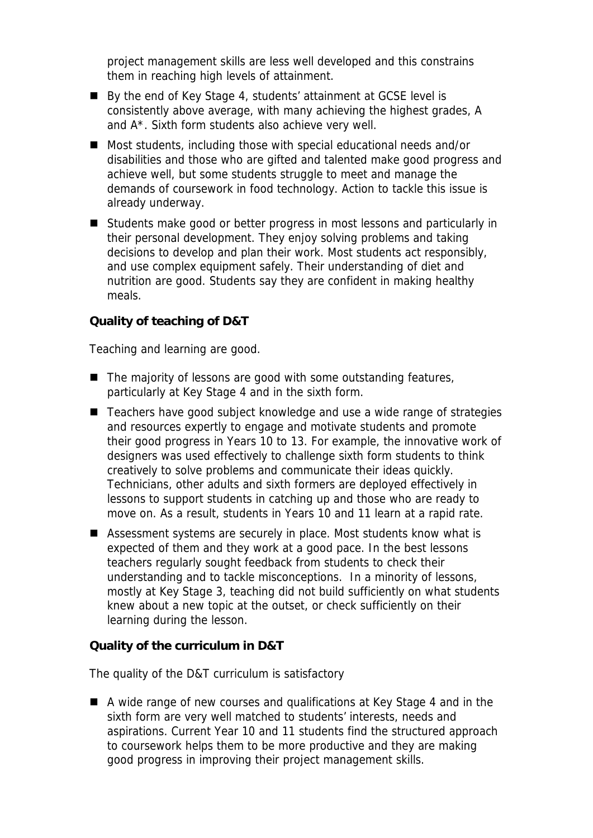project management skills are less well developed and this constrains them in reaching high levels of attainment.

- By the end of Key Stage 4, students' attainment at GCSE level is consistently above average, with many achieving the highest grades, A and A\*. Sixth form students also achieve very well.
- Most students, including those with special educational needs and/or disabilities and those who are gifted and talented make good progress and achieve well, but some students struggle to meet and manage the demands of coursework in food technology. Action to tackle this issue is already underway.
- Students make good or better progress in most lessons and particularly in their personal development. They enjoy solving problems and taking decisions to develop and plan their work. Most students act responsibly, and use complex equipment safely. Their understanding of diet and nutrition are good. Students say they are confident in making healthy meals.

## **Quality of teaching of D&T**

Teaching and learning are good.

- $\blacksquare$  The majority of lessons are good with some outstanding features, particularly at Key Stage 4 and in the sixth form.
- Teachers have good subject knowledge and use a wide range of strategies and resources expertly to engage and motivate students and promote their good progress in Years 10 to 13. For example, the innovative work of designers was used effectively to challenge sixth form students to think creatively to solve problems and communicate their ideas quickly. Technicians, other adults and sixth formers are deployed effectively in lessons to support students in catching up and those who are ready to move on. As a result, students in Years 10 and 11 learn at a rapid rate.
- Assessment systems are securely in place. Most students know what is expected of them and they work at a good pace. In the best lessons teachers regularly sought feedback from students to check their understanding and to tackle misconceptions. In a minority of lessons, mostly at Key Stage 3, teaching did not build sufficiently on what students knew about a new topic at the outset, or check sufficiently on their learning during the lesson.

**Quality of the curriculum in D&T**

The quality of the D&T curriculum is satisfactory

■ A wide range of new courses and qualifications at Key Stage 4 and in the sixth form are very well matched to students' interests, needs and aspirations. Current Year 10 and 11 students find the structured approach to coursework helps them to be more productive and they are making good progress in improving their project management skills.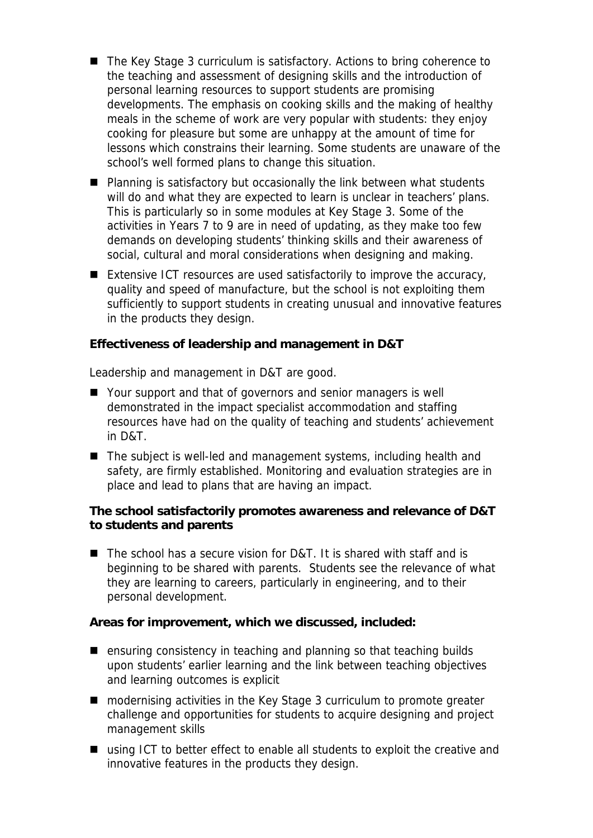- The Key Stage 3 curriculum is satisfactory. Actions to bring coherence to the teaching and assessment of designing skills and the introduction of personal learning resources to support students are promising developments. The emphasis on cooking skills and the making of healthy meals in the scheme of work are very popular with students: they enjoy cooking for pleasure but some are unhappy at the amount of time for lessons which constrains their learning. Some students are unaware of the school's well formed plans to change this situation.
- Planning is satisfactory but occasionally the link between what students will do and what they are expected to learn is unclear in teachers' plans. This is particularly so in some modules at Key Stage 3. Some of the activities in Years 7 to 9 are in need of updating, as they make too few demands on developing students' thinking skills and their awareness of social, cultural and moral considerations when designing and making.
- Extensive ICT resources are used satisfactorily to improve the accuracy, quality and speed of manufacture, but the school is not exploiting them sufficiently to support students in creating unusual and innovative features in the products they design.

**Effectiveness of leadership and management in D&T**

Leadership and management in D&T are good.

- Your support and that of governors and senior managers is well demonstrated in the impact specialist accommodation and staffing resources have had on the quality of teaching and students' achievement in D&T.
- The subject is well-led and management systems, including health and safety, are firmly established. Monitoring and evaluation strategies are in place and lead to plans that are having an impact.

**The school satisfactorily promotes awareness and relevance of D&T to students and parents**

■ The school has a secure vision for D&T. It is shared with staff and is beginning to be shared with parents. Students see the relevance of what they are learning to careers, particularly in engineering, and to their personal development.

**Areas for improvement, which we discussed, included:**

- ensuring consistency in teaching and planning so that teaching builds upon students' earlier learning and the link between teaching objectives and learning outcomes is explicit
- modernising activities in the Key Stage 3 curriculum to promote greater challenge and opportunities for students to acquire designing and project management skills
- using ICT to better effect to enable all students to exploit the creative and innovative features in the products they design.